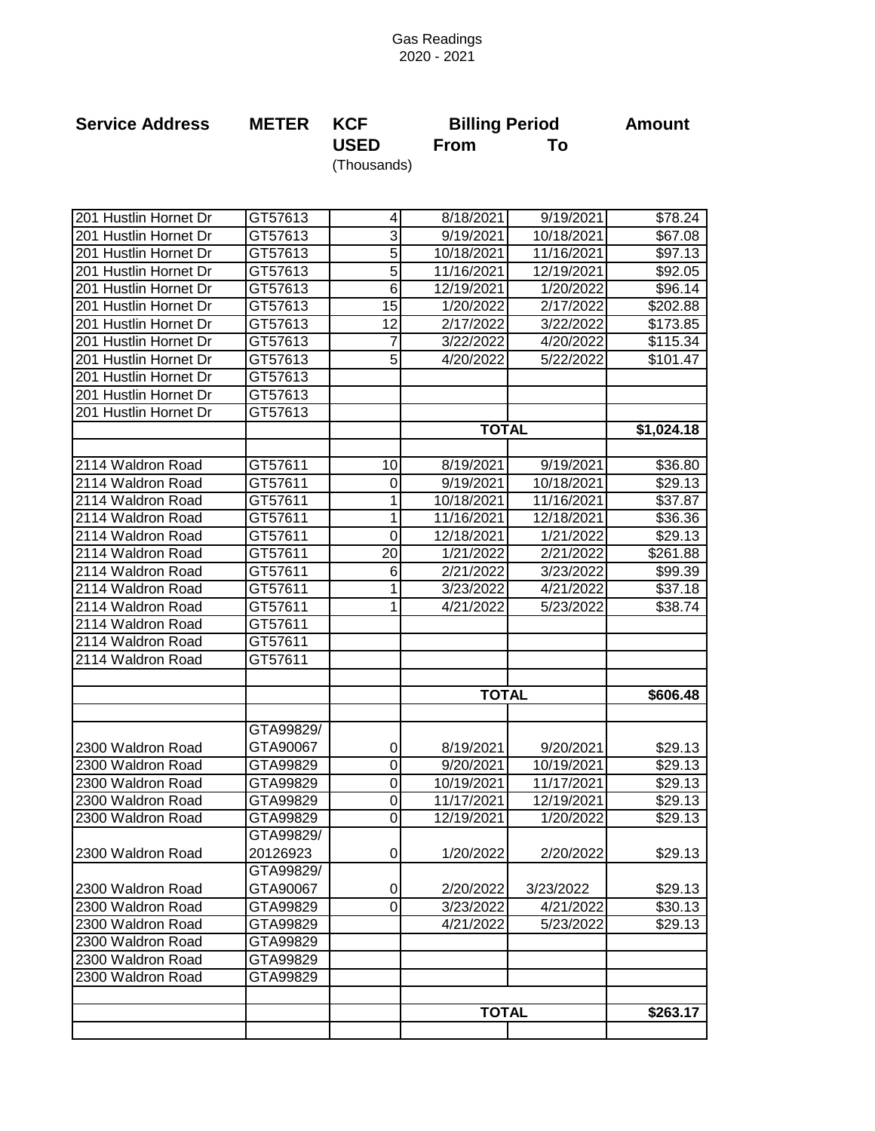## Gas Readings 2020 - 2021

| <b>Service Address</b> | <b>METER</b> | <b>KCF</b><br><b>USED</b> | <b>Billing Period</b> |            | <b>Amount</b>       |
|------------------------|--------------|---------------------------|-----------------------|------------|---------------------|
|                        |              |                           | <b>From</b>           | To         |                     |
|                        |              | (Thousands)               |                       |            |                     |
|                        |              |                           |                       |            |                     |
| 201 Hustlin Hornet Dr  | GT57613      | 4                         | 8/18/2021             | 9/19/2021  | \$78.24             |
| 201 Hustlin Hornet Dr  | GT57613      | 3                         | 9/19/2021             | 10/18/2021 | \$67.08             |
| 201 Hustlin Hornet Dr  | GT57613      | 5                         | 10/18/2021            | 11/16/2021 | \$97.13             |
| 201 Hustlin Hornet Dr  | GT57613      | 5                         | 11/16/2021            | 12/19/2021 | \$92.05             |
| 201 Hustlin Hornet Dr  | GT57613      | 6                         | 12/19/2021            | 1/20/2022  | \$96.14             |
| 201 Hustlin Hornet Dr  | GT57613      | 15                        | 1/20/2022             | 2/17/2022  | \$202.88            |
| 201 Hustlin Hornet Dr  | GT57613      | 12                        | 2/17/2022             | 3/22/2022  | \$173.85            |
| 201 Hustlin Hornet Dr  | GT57613      | 7                         | 3/22/2022             | 4/20/2022  | \$115.34            |
| 201 Hustlin Hornet Dr  | GT57613      | 5                         | 4/20/2022             | 5/22/2022  | \$101.47            |
| 201 Hustlin Hornet Dr  | GT57613      |                           |                       |            |                     |
| 201 Hustlin Hornet Dr  | GT57613      |                           |                       |            |                     |
| 201 Hustlin Hornet Dr  | GT57613      |                           |                       |            |                     |
|                        |              |                           | <b>TOTAL</b>          |            | \$1,024.18          |
| 2114 Waldron Road      | GT57611      | 10                        | 8/19/2021             | 9/19/2021  | \$36.80             |
| 2114 Waldron Road      | GT57611      | 0                         | 9/19/2021             | 10/18/2021 | \$29.13             |
| 2114 Waldron Road      | GT57611      | 1                         | 10/18/2021            | 11/16/2021 | \$37.87             |
| 2114 Waldron Road      | GT57611      | 1                         | 11/16/2021            | 12/18/2021 | \$36.36             |
| 2114 Waldron Road      | GT57611      | $\mathbf 0$               | 12/18/2021            | 1/21/2022  | \$29.13             |
| 2114 Waldron Road      | GT57611      | 20                        | 1/21/2022             | 2/21/2022  | \$261.88            |
| 2114 Waldron Road      | GT57611      | 6                         | 2/21/2022             | 3/23/2022  | \$99.39             |
| 2114 Waldron Road      | GT57611      | 1                         | 3/23/2022             | 4/21/2022  | \$37.18             |
| 2114 Waldron Road      | GT57611      | 1                         | 4/21/2022             | 5/23/2022  | \$38.74             |
| 2114 Waldron Road      | GT57611      |                           |                       |            |                     |
| 2114 Waldron Road      | GT57611      |                           |                       |            |                     |
| 2114 Waldron Road      | GT57611      |                           |                       |            |                     |
|                        |              |                           |                       |            |                     |
|                        |              |                           | <b>TOTAL</b>          |            | \$606.48            |
|                        | GTA99829/    |                           |                       |            |                     |
| 2300 Waldron Road      | GTA90067     | 0                         | 8/19/2021             | 9/20/2021  | \$29.13             |
| 2300 Waldron Road      | GTA99829     | 0                         | 9/20/2021             | 10/19/2021 | \$29.13             |
| 2300 Waldron Road      | GTA99829     | 0                         | 10/19/2021            | 11/17/2021 | \$29.13             |
| 2300 Waldron Road      | GTA99829     | 0                         | 11/17/2021            | 12/19/2021 | \$29.13             |
| 2300 Waldron Road      | GTA99829     | 0                         | 12/19/2021            | 1/20/2022  | $\overline{$}29.13$ |
|                        | GTA99829/    |                           |                       |            |                     |
| 2300 Waldron Road      | 20126923     | 0                         | 1/20/2022             | 2/20/2022  | \$29.13             |
|                        | GTA99829/    |                           |                       |            |                     |
| 2300 Waldron Road      | GTA90067     | 0                         | 2/20/2022             | 3/23/2022  | \$29.13             |
| 2300 Waldron Road      | GTA99829     | 0                         | 3/23/2022             | 4/21/2022  | \$30.13             |
| 2300 Waldron Road      | GTA99829     |                           | 4/21/2022             | 5/23/2022  | \$29.13             |
| 2300 Waldron Road      | GTA99829     |                           |                       |            |                     |
| 2300 Waldron Road      | GTA99829     |                           |                       |            |                     |
| 2300 Waldron Road      | GTA99829     |                           |                       |            |                     |
|                        |              |                           |                       |            |                     |
|                        |              |                           | <b>TOTAL</b>          |            | \$263.17            |
|                        |              |                           |                       |            |                     |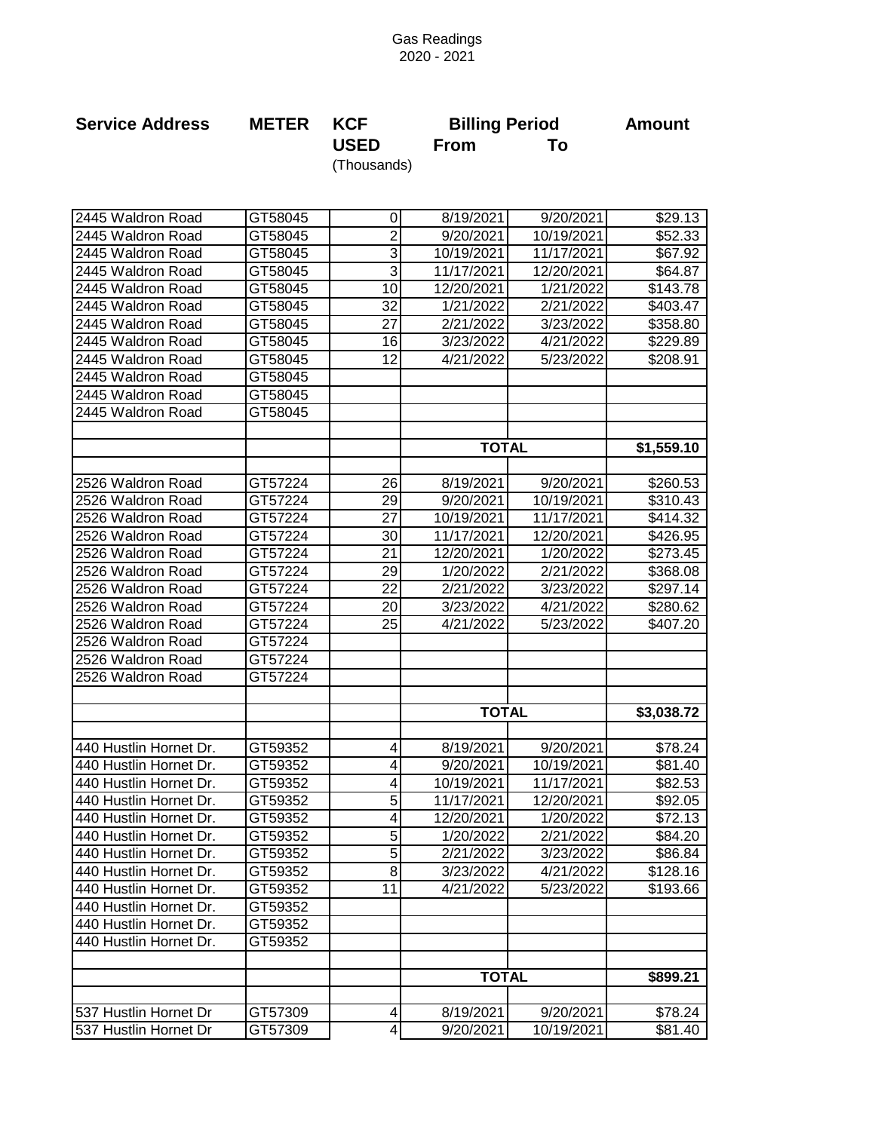## Gas Readings 2020 - 2021

| <b>Service Address</b> | <b>METER</b> | <b>KCF</b>      | <b>Billing Period</b> | <b>Amount</b> |            |
|------------------------|--------------|-----------------|-----------------------|---------------|------------|
|                        |              | <b>USED</b>     | <b>From</b>           | To            |            |
|                        |              | (Thousands)     |                       |               |            |
|                        |              |                 |                       |               |            |
|                        |              |                 |                       |               |            |
| 2445 Waldron Road      | GT58045      | 0               | 8/19/2021             | 9/20/2021     | \$29.13    |
| 2445 Waldron Road      | GT58045      | $\overline{2}$  | 9/20/2021             | 10/19/2021    | \$52.33    |
| 2445 Waldron Road      | GT58045      | 3               | 10/19/2021            | 11/17/2021    | \$67.92    |
| 2445 Waldron Road      | GT58045      | 3               | 11/17/2021            | 12/20/2021    | \$64.87    |
| 2445 Waldron Road      | GT58045      | 10              | 12/20/2021            | 1/21/2022     | \$143.78   |
| 2445 Waldron Road      | GT58045      | 32              | 1/21/2022             | 2/21/2022     | \$403.47   |
| 2445 Waldron Road      | GT58045      | $\overline{27}$ | 2/21/2022             | 3/23/2022     | \$358.80   |
| 2445 Waldron Road      | GT58045      | $\overline{16}$ | 3/23/2022             | 4/21/2022     | \$229.89   |
| 2445 Waldron Road      | GT58045      | 12              | 4/21/2022             | 5/23/2022     | \$208.91   |
| 2445 Waldron Road      | GT58045      |                 |                       |               |            |
| 2445 Waldron Road      | GT58045      |                 |                       |               |            |
| 2445 Waldron Road      | GT58045      |                 |                       |               |            |
|                        |              |                 |                       |               |            |
|                        |              |                 | <b>TOTAL</b>          |               | \$1,559.10 |
| 2526 Waldron Road      | GT57224      | 26              | 8/19/2021             | 9/20/2021     | \$260.53   |
| 2526 Waldron Road      | GT57224      | 29              | 9/20/2021             | 10/19/2021    | \$310.43   |
| 2526 Waldron Road      | GT57224      | 27              | 10/19/2021            | 11/17/2021    | \$414.32   |
| 2526 Waldron Road      | GT57224      | 30              | 11/17/2021            | 12/20/2021    | \$426.95   |
| 2526 Waldron Road      | GT57224      | 21              | 12/20/2021            | 1/20/2022     | \$273.45   |
| 2526 Waldron Road      | GT57224      | 29              | 1/20/2022             | 2/21/2022     | \$368.08   |
| 2526 Waldron Road      | GT57224      | 22              | 2/21/2022             | 3/23/2022     | \$297.14   |
| 2526 Waldron Road      | GT57224      | 20              | 3/23/2022             | 4/21/2022     | \$280.62   |
| 2526 Waldron Road      | GT57224      | 25              | 4/21/2022             | 5/23/2022     | \$407.20   |
| 2526 Waldron Road      | GT57224      |                 |                       |               |            |
| 2526 Waldron Road      | GT57224      |                 |                       |               |            |
| 2526 Waldron Road      | GT57224      |                 |                       |               |            |
|                        |              |                 |                       |               |            |
|                        |              |                 | <b>TOTAL</b>          |               | \$3,038.72 |
|                        |              |                 |                       |               |            |
| 440 Hustlin Hornet Dr. | GT59352      | $\overline{4}$  | 8/19/2021             | 9/20/2021     | \$78.24    |
| 440 Hustlin Hornet Dr. | GT59352      | 4               | 9/20/2021             | 10/19/2021    | \$81.40    |
| 440 Hustlin Hornet Dr. | GT59352      | 4               | 10/19/2021            | 11/17/2021    | \$82.53    |
| 440 Hustlin Hornet Dr. | GT59352      | 5               | 11/17/2021            | 12/20/2021    | \$92.05    |
| 440 Hustlin Hornet Dr. | GT59352      | 4               | 12/20/2021            | 1/20/2022     | \$72.13    |
| 440 Hustlin Hornet Dr. | GT59352      | 5               | 1/20/2022             | 2/21/2022     | \$84.20    |
| 440 Hustlin Hornet Dr. | GT59352      | $\overline{5}$  | 2/21/2022             | 3/23/2022     | \$86.84    |
| 440 Hustlin Hornet Dr. | GT59352      | 8               | 3/23/2022             | 4/21/2022     | \$128.16   |
| 440 Hustlin Hornet Dr. | GT59352      | 11              | 4/21/2022             | 5/23/2022     | \$193.66   |
| 440 Hustlin Hornet Dr. | GT59352      |                 |                       |               |            |
| 440 Hustlin Hornet Dr. | GT59352      |                 |                       |               |            |
| 440 Hustlin Hornet Dr. | GT59352      |                 |                       |               |            |
|                        |              |                 | <b>TOTAL</b>          |               | \$899.21   |
|                        |              |                 |                       |               |            |
| 537 Hustlin Hornet Dr  | GT57309      | 4               | 8/19/2021             | 9/20/2021     | \$78.24    |
| 537 Hustlin Hornet Dr  | GT57309      | 4               | 9/20/2021             | 10/19/2021    | \$81.40    |